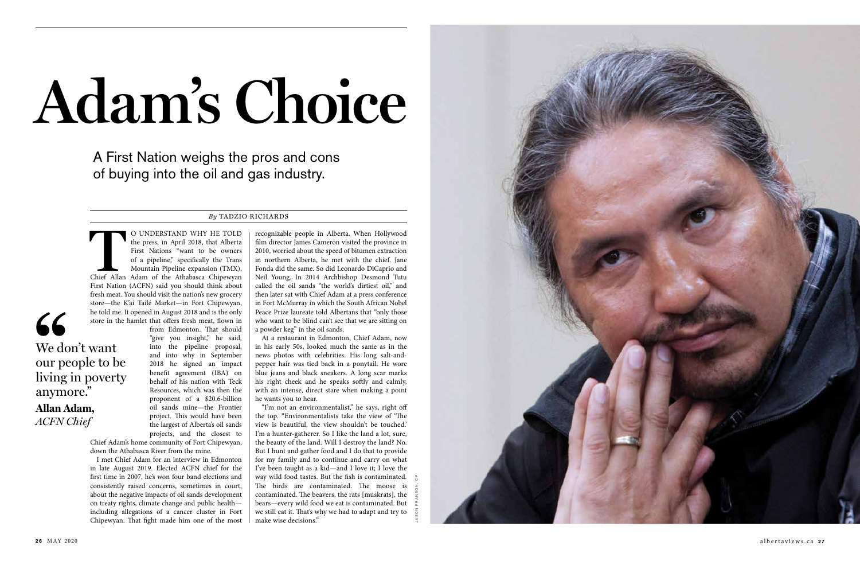the press, in April 2018, that Alberta First Nations "want to be owners of a pipeline," specifically the Trans Mountain Pipeline expansion (TMX), Chief Allan Adam of the Athabasca Chipewyan First Nation (ACFN) said you should think about fresh meat. You should visit the nation's new grocery store—the K'ai Tailé Market—in Fort Chipewyan, he told me. It opened in August 2018 and is the only store in the hamlet that offers fresh meat, flown in

from Edmonton. That should "give you insight," he said, into the pipeline proposal, and into why in September 2018 he signed an impact benefit agreement (IBA) on behalf of his nation with Teck Resources, which was then the proponent of a \$20.6-billion oil sands mine—the Frontier project. This would have been the largest of Alberta's oil sands projects, and the closest to



Chief Adam's home community of Fort Chipewyan, down the Athabasca River from the mine.

I met Chief Adam for an interview in Edmonton in late August 2019. Elected ACFN chief for the first time in 2007, he's won four band elections and consistently raised concerns, sometimes in court, about the negative impacts of oil sands development on treaty rights, climate change and public health including allegations of a cancer cluster in Fort Chipewyan. That fight made him one of the most

## **Adam's Choice**

A First Nation weighs the pros and cons of buying into the oil and gas industry.

## *By* TADZIO RICHARDS

recognizable people in Alberta. When Hollywood film director James Cameron visited the province in 2010, worried about the speed of bitumen extraction in northern Alberta, he met with the chief. Jane Fonda did the same. So did Leonardo DiCaprio and Neil Young. In 2014 Archbishop Desmond Tutu called the oil sands "the world's dirtiest oil," and then later sat with Chief Adam at a press conference in Fort McMurray in which the South African Nobel Peace Prize laureate told Albertans that "only those who want to be blind can't see that we are sitting on a powder keg" in the oil sands.

At a restaurant in Edmonton, Chief Adam, now in his early 50s, looked much the same as in the news photos with celebrities. His long salt-andpepper hair was tied back in a ponytail. He wore blue jeans and black sneakers. A long scar marks his right cheek and he speaks softly and calmly, with an intense, direct stare when making a point he wants you to hear.

"I'm not an environmentalist," he says, right off the top. "Environmentalists take the view of 'The view is beautiful, the view shouldn't be touched.' I'm a hunter-gatherer. So I like the land a lot, sure, the beauty of the land. Will I destroy the land? No. But I hunt and gather food and I do that to provide for my family and to continue and carry on what I've been taught as a kid—and I love it; I love the way wild food tastes. But the fish is contaminated. The birds are contaminated. The moose is contaminated. The beavers, the rats [muskrats], the bears—every wild food we eat is contaminated. But we still eat it. That's why we had to adapt and try to make wise decisions."

We don't want

our people to be

living in poverty

anymore."

**Allan Adam,** *ACFN Chief*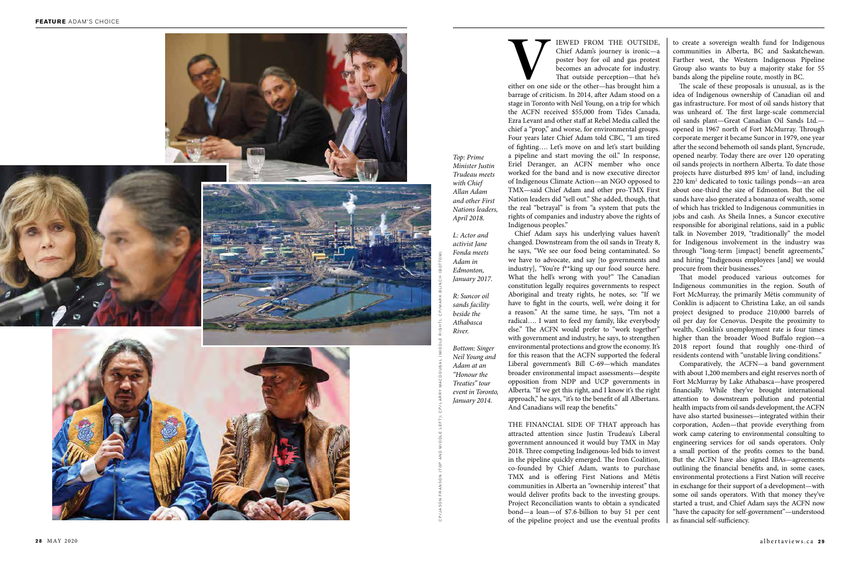**VEWED FROM THE OUTSIDE,**<br>
Chief Adam's journey is ironic—a<br>
poster boy for oil and gas protest<br>
becomes an advocate for industry.<br>
That outside perception—that he's<br>
either on one side or the other—has brought him a Chief Adam's journey is ironic—a poster boy for oil and gas protest becomes an advocate for industry. That outside perception—that he's barrage of criticism. In 2014, after Adam stood on a stage in Toronto with Neil Young, on a trip for which the ACFN received \$55,000 from Tides Canada, Ezra Levant and other staff at Rebel Media called the chief a "prop," and worse, for environmental groups. Four years later Chief Adam told CBC, "I am tired of fighting…. Let's move on and let's start building a pipeline and start moving the oil." In response, Eriel Deranger, an ACFN member who once worked for the band and is now executive director of Indigenous Climate Action—an NGO opposed to TMX—said Chief Adam and other pro-TMX First Nation leaders did "sell out." She added, though, that the real "betrayal" is from "a system that puts the rights of companies and industry above the rights of Indigenous peoples."

Chief Adam says his underlying values haven't changed. Downstream from the oil sands in Treaty 8, he says, "We see our food being contaminated. So we have to advocate, and say [to governments and industry], "You're f\*\*king up our food source here. What the hell's wrong with you?" The Canadian constitution legally requires governments to respect Aboriginal and treaty rights, he notes, so: "If we have to fight in the courts, well, we're doing it for a reason." At the same time, he says, "I'm not a radical…. I want to feed my family, like everybody else." The ACFN would prefer to "work together" with government and industry, he says, to strengthen environmental protections and grow the economy. It's for this reason that the ACFN supported the federal Liberal government's Bill C-69—which mandates broader environmental impact assessments—despite opposition from NDP and UCP governments in Alberta. "If we get this right, and I know it's the right approach," he says, "it's to the benefit of all Albertans. And Canadians will reap the benefits." THE FINANCIAL SIDE OF THAT approach has

attracted attention since Justin Trudeau's Liberal government announced it would buy TMX in May 2018. Three competing Indigenous-led bids to invest in the pipeline quickly emerged. The Iron Coalition, co-founded by Chief Adam, wants to purchase TMX and is offering First Nations and Métis communities in Alberta an "ownership interest" that would deliver profits back to the investing groups. Project Reconciliation wants to obtain a syndicated bond—a loan—of \$7.6-billion to buy 51 per cent of the pipeline project and use the eventual profits

*Top: Prime Minister Justin Trudeau meets with Chief Allan Adam and other First Nations leaders, April 2018.*

*L: Actor and activist Jane Fonda meets Adam in Edmonton, January 2017.*

*R: Suncor oil sands facility beside the Athabasca River.*

*Bottom: Singer Neil Young and Adam at an "Honour the Treaties" tour event in Toronto, January 2014.*

to create a sovereign wealth fund for Indigenous communities in Alberta, BC and Saskatchewan. Farther west, the Western Indigenous Pipeline Group also wants to buy a majority stake for 55 bands along the pipeline route, mostly in BC.

The scale of these proposals is unusual, as is the idea of Indigenous ownership of Canadian oil and gas infrastructure. For most of oil sands history that was unheard of. The first large-scale commercial oil sands plant—Great Canadian Oil Sands Ltd. opened in 1967 north of Fort McMurray. Through corporate merger it became Suncor in 1979, one year after the second behemoth oil sands plant, Syncrude, opened nearby. Today there are over 120 operating oil sands projects in northern Alberta. To date those projects have disturbed 895 km 2 of land, including 220 km 2 dedicated to toxic tailings ponds—an area about one-third the size of Edmonton. But the oil sands have also generated a bonanza of wealth, some of which has trickled to Indigenous communities in jobs and cash. As Sheila Innes, a Suncor executive responsible for aboriginal relations, said in a public talk in November 2019, "traditionally" the model for Indigenous involvement in the industry was through "long-term [impact] benefit agreements," and hiring "Indigenous employees [and] we would procure from their businesses."

That model produced various outcomes for Indigenous communities in the region. South of Fort McMurray, the primarily Métis community of Conklin is adjacent to Christina Lake, an oil sands project designed to produce 210,000 barrels of oil per day for Cenovus. Despite the proximity to wealth, Conklin's unemployment rate is four times higher than the broader Wood Buffalo region—a 2018 report found that roughly one-third of residents contend with "unstable living conditions."

Comparatively, the ACFN—a band government with about 1,200 members and eight reserves north of Fort McMurray by Lake Athabasca—have prospered financially. While they've brought international attention to downstream pollution and potential health impacts from oil sands development, the ACFN have also started businesses—integrated within their corporation, Acden—that provide everything from work camp catering to environmental consulting to engineering services for oil sands operators. Only a small portion of the profits comes to the band. But the ACFN have also signed IBAs—agreements outlining the financial benefits and, in some cases, environmental protections a First Nation will receive in exchange for their support of a development—with some oil sands operators. With that money they've started a trust, and Chief Adam says the ACFN now "have the capacity for self-government"—understood as financial self-sufficiency.

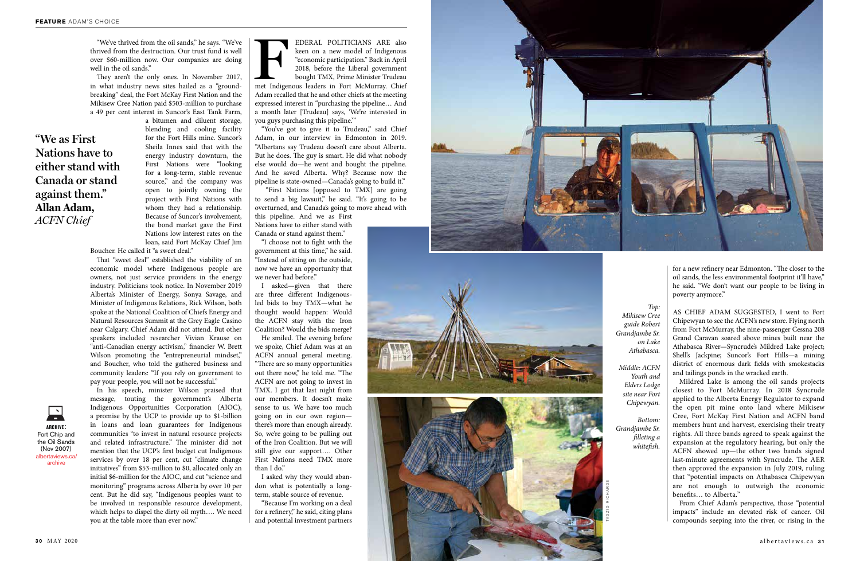



keen on a new model of Indigenous "economic participation." Back in April 2018, before the Liberal government bought TMX, Prime Minister Trudeau met Indigenous leaders in Fort McMurray. Chief Adam recalled that he and other chiefs at the meeting expressed interest in "purchasing the pipeline… And a month later [Trudeau] says, 'We're interested in you guys purchasing this pipeline.' "

"You've got to give it to Trudeau," said Chief Adam, in our interview in Edmonton in 2019. "Albertans say Trudeau doesn't care about Alberta. But he does. The guy is smart. He did what nobody else would do—he went and bought the pipeline. And he saved Alberta. Why? Because now the pipeline is state-owned—Canada's going to build it."

 "First Nations [opposed to TMX] are going to send a big lawsuit," he said. "It's going to be overturned, and Canada's going to move ahead with

this pipeline. And we as First Nations have to either stand with Canada or stand against them."

"I choose not to fight with the government at this time," he said. "Instead of sitting on the outside, now we have an opportunity that we never had before."

I asked—given that there are three different Indigenousled bids to buy TMX—what he thought would happen: Would the ACFN stay with the Iron Coalition? Would the bids merge?

He smiled. The evening before we spoke, Chief Adam was at an ACFN annual general meeting. "There are so many opportunities out there now," he told me. "The ACFN are not going to invest in TMX. I got that last night from our members. It doesn't make sense to us. We have too much going on in our own region there's more than enough already. So, we're going to be pulling out of the Iron Coalition. But we will still give our support…. Other First Nations need TMX more than I do."

I asked why they would abandon what is potentially a longterm, stable source of revenue.

"Because I'm working on a deal for a refinery," he said, citing plans and potential investment partners

"We've thrived from the oil sands," he says. "We've thrived from the destruction. Our trust fund is well over \$60-million now. Our companies are doing well in the oil sands."

They aren't the only ones. In November 2017, in what industry news sites hailed as a "groundbreaking" deal, the Fort McKay First Nation and the Mikisew Cree Nation paid \$503-million to purchase a 49 per cent interest in Suncor's East Tank Farm,

a bitumen and diluent storage, blending and cooling facility for the Fort Hills mine. Suncor's Sheila Innes said that with the energy industry downturn, the First Nations were "looking for a long-term, stable revenue source," and the company was open to jointly owning the project with First Nations with whom they had a relationship. Because of Suncor's involvement, the bond market gave the First Nations low interest rates on the loan, said Fort McKay Chief Jim

Boucher. He called it "a sweet deal."

That "sweet deal" established the viability of an economic model where Indigenous people are owners, not just service providers in the energy industry. Politicians took notice. In November 2019 Alberta's Minister of Energy, Sonya Savage, and Minister of Indigenous Relations, Rick Wilson, both spoke at the National Coalition of Chiefs Energy and Natural Resources Summit at the Grey Eagle Casino near Calgary. Chief Adam did not attend. But other speakers included researcher Vivian Krause on "anti-Canadian energy activism," financier W. Brett Wilson promoting the "entrepreneurial mindset," and Boucher, who told the gathered business and community leaders: "If you rely on government to pay your people, you will not be successful."



In his speech, minister Wilson praised that

message, touting the government's Alberta Indigenous Opportunities Corporation (AIOC), a promise by the UCP to provide up to \$1-billion in loans and loan guarantees for Indigenous communities "to invest in natural resource projects and related infrastructure." The minister did not mention that the UCP's first budget cut Indigenous services by over 18 per cent, cut "climate change initiatives" from \$53-million to \$0, allocated only an initial \$6-million for the AIOC, and cut "science and monitoring" programs across Alberta by over 10 per cent. But he did say, "Indigenous peoples want to be involved in responsible resource development, which helps to dispel the dirty oil myth…. We need you at the table more than ever now."

*Top:* 

*Mikisew Cree guide Robert Grandjambe Sr. on Lake Athabasca.*

*Middle: ACFN Youth and Elders Lodge site near Fort Chipewyan.*

*Bottom: Grandjambe Sr. filleting a whitefish.*

for a new refinery near Edmonton. "The closer to the oil sands, the less environmental footprint it'll have," he said. "We don't want our people to be living in poverty anymore."

AS CHIEF ADAM SUGGESTED, I went to Fort Chipewyan to see the ACFN's new store. Flying north from Fort McMurray, the nine-passenger Cessna 208 Grand Caravan soared above mines built near the Athabasca River—Syncrude's Mildred Lake project; Shell's Jackpine; Suncor's Fort Hills—a mining district of enormous dark fields with smokestacks and tailings ponds in the wracked earth.

Mildred Lake is among the oil sands projects closest to Fort McMurray. In 2018 Syncrude applied to the Alberta Energy Regulator to expand the open pit mine onto land where Mikisew Cree, Fort McKay First Nation and ACFN band members hunt and harvest, exercising their treaty rights. All three bands agreed to speak against the expansion at the regulatory hearing, but only the ACFN showed up—the other two bands signed last-minute agreements with Syncrude. The AER then approved the expansion in July 2019, ruling that "potential impacts on Athabasca Chipewyan are not enough to outweigh the economic benefits… to Alberta."

From Chief Adam's perspective, those "potential impacts" include an elevated risk of cancer. Oil compounds seeping into the river, or rising in the

## **"We as First Nations have to either stand with Canada or stand against them." Allan Adam,** *ACFN Chief*

albertaviews.ca/ archive **archive** : Fort Chip and the Oil Sands (Nov 2007)

TADZ IO R ICHAR DS